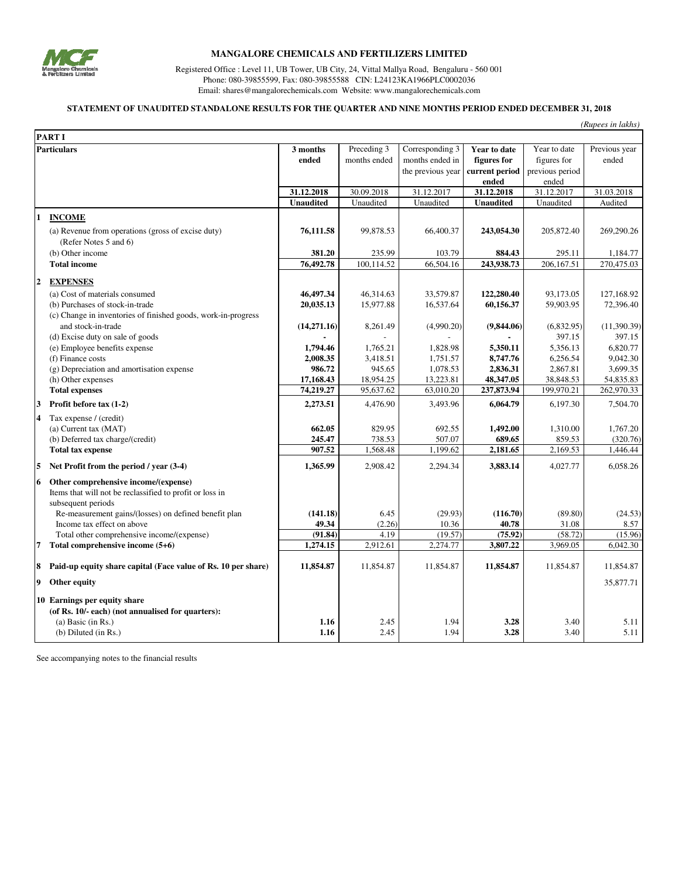

## **MANGALORE CHEMICALS AND FERTILIZERS LIMITED**

Registered Office : Level 11, UB Tower, UB City, 24, Vittal Mallya Road, Bengaluru - 560 001 Phone: 080-39855599, Fax: 080-39855588 CIN: L24123KA1966PLC0002036 Email: shares@mangalorechemicals.com Website: www.mangalorechemicals.com

## **STATEMENT OF UNAUDITED STANDALONE RESULTS FOR THE QUARTER AND NINE MONTHS PERIOD ENDED DECEMBER 31, 2018**

| (Rupees in lakhs) |  |  |
|-------------------|--|--|
|                   |  |  |
|                   |  |  |

|                         | <b>PART I</b>                                                                                                                          |                  |              |                   |                  |                 |               |
|-------------------------|----------------------------------------------------------------------------------------------------------------------------------------|------------------|--------------|-------------------|------------------|-----------------|---------------|
| <b>Particulars</b>      |                                                                                                                                        | 3 months         | Preceding 3  | Corresponding $3$ | Year to date     | Year to date    | Previous year |
|                         |                                                                                                                                        | ended            | months ended | months ended in   | figures for      | figures for     | ended         |
|                         |                                                                                                                                        |                  |              | the previous year | current period   | previous period |               |
|                         |                                                                                                                                        |                  |              |                   | ended            | ended           |               |
|                         |                                                                                                                                        | 31.12.2018       | 30.09.2018   | 31.12.2017        | 31.12.2018       | 31.12.2017      | 31.03.2018    |
|                         |                                                                                                                                        | <b>Unaudited</b> | Unaudited    | Unaudited         | <b>Unaudited</b> | Unaudited       | Audited       |
| 1                       | <b>INCOME</b>                                                                                                                          |                  |              |                   |                  |                 |               |
|                         | (a) Revenue from operations (gross of excise duty)<br>(Refer Notes 5 and 6)                                                            | 76,111.58        | 99,878.53    | 66,400.37         | 243,054.30       | 205,872.40      | 269,290.26    |
|                         | (b) Other income                                                                                                                       | 381.20           | 235.99       | 103.79            | 884.43           | 295.11          | 1,184.77      |
|                         | <b>Total income</b>                                                                                                                    | 76,492.78        | 100,114.52   | 66,504.16         | 243,938.73       | 206,167.51      | 270,475.03    |
| $\boldsymbol{2}$        | <b>EXPENSES</b>                                                                                                                        |                  |              |                   |                  |                 |               |
|                         | (a) Cost of materials consumed                                                                                                         | 46,497.34        | 46,314.63    | 33,579.87         | 122,280.40       | 93,173.05       | 127,168.92    |
|                         | (b) Purchases of stock-in-trade                                                                                                        | 20,035.13        | 15,977.88    | 16,537.64         | 60,156.37        | 59,903.95       | 72,396.40     |
|                         | (c) Change in inventories of finished goods, work-in-progress                                                                          |                  |              |                   |                  |                 |               |
|                         | and stock-in-trade                                                                                                                     | (14,271.16)      | 8,261.49     | (4,990.20)        | (9,844.06)       | (6,832.95)      | (11,390.39)   |
|                         | (d) Excise duty on sale of goods                                                                                                       |                  |              |                   |                  | 397.15          | 397.15        |
|                         | (e) Employee benefits expense                                                                                                          | 1,794.46         | 1.765.21     | 1,828.98          | 5,350.11         | 5,356.13        | 6,820.77      |
|                         | (f) Finance costs                                                                                                                      | 2,008.35         | 3,418.51     | 1,751.57          | 8,747.76         | 6,256.54        | 9,042.30      |
|                         | (g) Depreciation and amortisation expense                                                                                              | 986.72           | 945.65       | 1,078.53          | 2,836.31         | 2,867.81        | 3,699.35      |
|                         | (h) Other expenses                                                                                                                     | 17,168.43        | 18,954.25    | 13,223.81         | 48,347.05        | 38,848.53       | 54,835.83     |
|                         | <b>Total expenses</b>                                                                                                                  | 74,219.27        | 95,637.62    | 63,010.20         | 237,873.94       | 199,970.21      | 262,970.33    |
| 3                       | Profit before tax (1-2)                                                                                                                | 2,273.51         | 4,476.90     | 3,493.96          | 6,064.79         | 6,197.30        | 7,504.70      |
| $\overline{\mathbf{4}}$ | Tax expense / (credit)                                                                                                                 |                  |              |                   |                  |                 |               |
|                         | (a) Current tax (MAT)                                                                                                                  | 662.05           | 829.95       | 692.55            | 1,492.00         | 1,310.00        | 1,767.20      |
|                         | (b) Deferred tax charge/(credit)                                                                                                       | 245.47           | 738.53       | 507.07            | 689.65           | 859.53          | (320.76)      |
|                         | <b>Total tax expense</b>                                                                                                               | 907.52           | 1,568.48     | 1,199.62          | 2,181.65         | 2,169.53        | 1,446.44      |
| 5                       | Net Profit from the period / year (3-4)                                                                                                | 1,365.99         | 2,908.42     | 2,294.34          | 3,883.14         | 4,027.77        | 6,058.26      |
| 6                       | Other comprehensive income/(expense)<br>Items that will not be reclassified to profit or loss in<br>subsequent periods                 |                  |              |                   |                  |                 |               |
|                         | Re-measurement gains/(losses) on defined benefit plan                                                                                  | (141.18)         | 6.45         | (29.93)           | (116.70)         | (89.80)         | (24.53)       |
|                         | Income tax effect on above                                                                                                             | 49.34            | (2.26)       | 10.36             | 40.78            | 31.08           | 8.57          |
|                         | Total other comprehensive income/(expense)                                                                                             | (91.84)          | 4.19         | (19.57)           | (75.92)          | (58.72)         | (15.96)       |
| 7                       | Total comprehensive income (5+6)                                                                                                       | 1,274.15         | 2,912.61     | 2,274.77          | 3,807.22         | 3,969.05        | 6,042.30      |
| 8                       | Paid-up equity share capital (Face value of Rs. 10 per share)                                                                          | 11,854.87        | 11,854.87    | 11,854.87         | 11,854.87        | 11,854.87       | 11,854.87     |
| 9                       | Other equity                                                                                                                           |                  |              |                   |                  |                 | 35,877.71     |
|                         | 10 Earnings per equity share<br>(of Rs. 10/- each) (not annualised for quarters):<br>(a) Basic (in $Rs.$ )<br>$(b)$ Diluted $(in Rs.)$ | 1.16<br>1.16     | 2.45<br>2.45 | 1.94<br>1.94      | 3.28<br>3.28     | 3.40<br>3.40    | 5.11<br>5.11  |

See accompanying notes to the financial results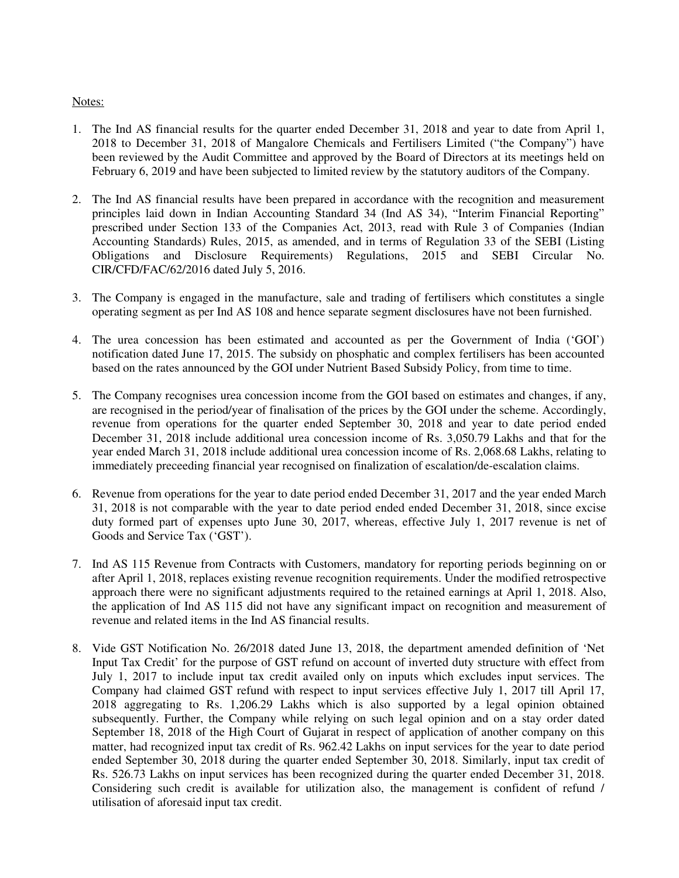## Notes:

- 1. The Ind AS financial results for the quarter ended December 31, 2018 and year to date from April 1, 2018 to December 31, 2018 of Mangalore Chemicals and Fertilisers Limited ("the Company") have been reviewed by the Audit Committee and approved by the Board of Directors at its meetings held on February 6, 2019 and have been subjected to limited review by the statutory auditors of the Company.
- 2. The Ind AS financial results have been prepared in accordance with the recognition and measurement principles laid down in Indian Accounting Standard 34 (Ind AS 34), "Interim Financial Reporting" prescribed under Section 133 of the Companies Act, 2013, read with Rule 3 of Companies (Indian Accounting Standards) Rules, 2015, as amended, and in terms of Regulation 33 of the SEBI (Listing Obligations and Disclosure Requirements) Regulations, 2015 and SEBI Circular No. CIR/CFD/FAC/62/2016 dated July 5, 2016.
- 3. The Company is engaged in the manufacture, sale and trading of fertilisers which constitutes a single operating segment as per Ind AS 108 and hence separate segment disclosures have not been furnished.
- 4. The urea concession has been estimated and accounted as per the Government of India ('GOI') notification dated June 17, 2015. The subsidy on phosphatic and complex fertilisers has been accounted based on the rates announced by the GOI under Nutrient Based Subsidy Policy, from time to time.
- 5. The Company recognises urea concession income from the GOI based on estimates and changes, if any, are recognised in the period/year of finalisation of the prices by the GOI under the scheme. Accordingly, revenue from operations for the quarter ended September 30, 2018 and year to date period ended December 31, 2018 include additional urea concession income of Rs. 3,050.79 Lakhs and that for the year ended March 31, 2018 include additional urea concession income of Rs. 2,068.68 Lakhs, relating to immediately preceeding financial year recognised on finalization of escalation/de-escalation claims.
- 6. Revenue from operations for the year to date period ended December 31, 2017 and the year ended March 31, 2018 is not comparable with the year to date period ended ended December 31, 2018, since excise duty formed part of expenses upto June 30, 2017, whereas, effective July 1, 2017 revenue is net of Goods and Service Tax ('GST').
- 7. Ind AS 115 Revenue from Contracts with Customers, mandatory for reporting periods beginning on or after April 1, 2018, replaces existing revenue recognition requirements. Under the modified retrospective approach there were no significant adjustments required to the retained earnings at April 1, 2018. Also, the application of Ind AS 115 did not have any significant impact on recognition and measurement of revenue and related items in the Ind AS financial results.
- 8. Vide GST Notification No. 26/2018 dated June 13, 2018, the department amended definition of 'Net Input Tax Credit' for the purpose of GST refund on account of inverted duty structure with effect from July 1, 2017 to include input tax credit availed only on inputs which excludes input services. The Company had claimed GST refund with respect to input services effective July 1, 2017 till April 17, 2018 aggregating to Rs. 1,206.29 Lakhs which is also supported by a legal opinion obtained subsequently. Further, the Company while relying on such legal opinion and on a stay order dated September 18, 2018 of the High Court of Gujarat in respect of application of another company on this matter, had recognized input tax credit of Rs. 962.42 Lakhs on input services for the year to date period ended September 30, 2018 during the quarter ended September 30, 2018. Similarly, input tax credit of Rs. 526.73 Lakhs on input services has been recognized during the quarter ended December 31, 2018. Considering such credit is available for utilization also, the management is confident of refund / utilisation of aforesaid input tax credit.